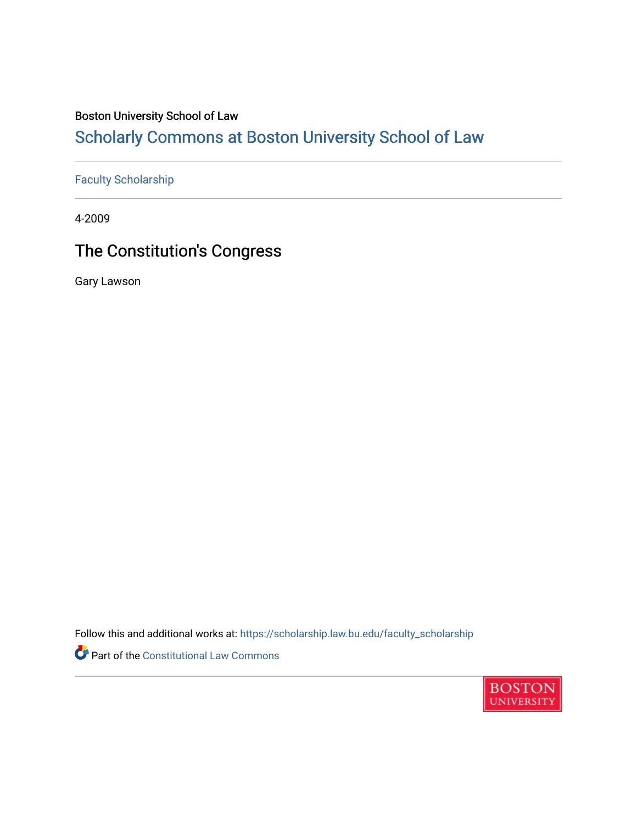## Boston University School of Law

# [Scholarly Commons at Boston University School of Law](https://scholarship.law.bu.edu/)

## [Faculty Scholarship](https://scholarship.law.bu.edu/faculty_scholarship)

4-2009

# The Constitution's Congress

Gary Lawson

Follow this and additional works at: [https://scholarship.law.bu.edu/faculty\\_scholarship](https://scholarship.law.bu.edu/faculty_scholarship?utm_source=scholarship.law.bu.edu%2Ffaculty_scholarship%2F2679&utm_medium=PDF&utm_campaign=PDFCoverPages)

Part of the [Constitutional Law Commons](https://network.bepress.com/hgg/discipline/589?utm_source=scholarship.law.bu.edu%2Ffaculty_scholarship%2F2679&utm_medium=PDF&utm_campaign=PDFCoverPages) 

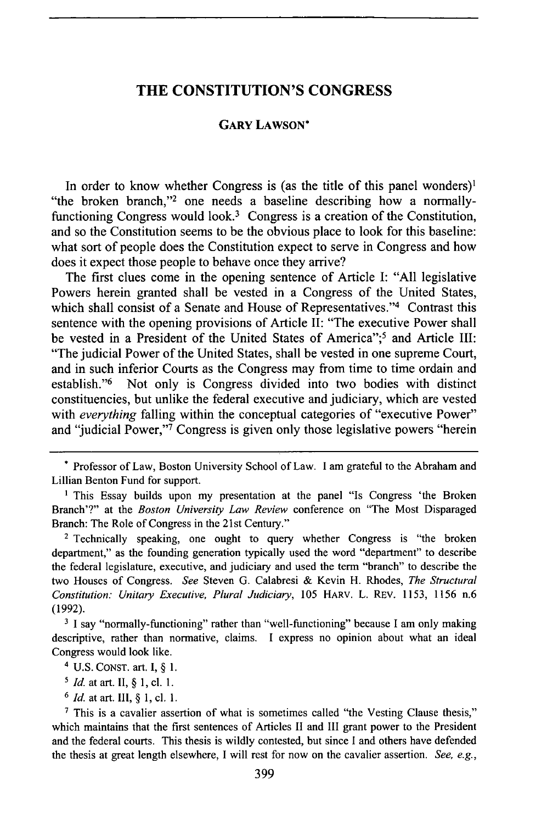#### **THE CONSTITUTION'S CONGRESS**

#### **GARY LAWSON\***

In order to know whether Congress is (as the title of this panel wonders)<sup>1</sup> "the broken branch,"<sup>2</sup> one needs a baseline describing how a normallyfunctioning Congress would look.<sup>3</sup> Congress is a creation of the Constitution, and so the Constitution seems to be the obvious place to look for this baseline: what sort of people does the Constitution expect to serve in Congress and how does it expect those people to behave once they arrive?

The first clues come in the opening sentence of Article **I: "All** legislative Powers herein granted shall be vested in a Congress of the United States, which shall consist of a Senate and House of Representatives."<sup>4</sup> Contrast this sentence with the opening provisions of Article **II:** "The executive Power shall be vested in a President of the United States of America";5 and Article **III:** "The judicial Power of the United States, shall be vested in one supreme Court, and in such inferior Courts as the Congress may from time to time ordain and establish."<sup>6</sup> Not only is Congress divided into two bodies with distinct constituencies, but unlike the federal executive and judiciary, which are vested with *everything* falling within the conceptual categories of "executive Power" and "judicial Power,"<sup>7</sup> Congress is given only those legislative powers "herein

*6 Id.* at art. **II1, § 1, cl. 1.**

Professor of Law, Boston University School of Law. **I** am grateful to the Abraham and Lillian Benton Fund for support.

<sup>&</sup>lt;sup>1</sup> This Essay builds upon my presentation at the panel "Is Congress 'the Broken Branch'?" at the *Boston University Law Review* conference on "The Most Disparaged Branch: The Role of Congress in the 21st Century."

**<sup>2</sup>** Technically speaking, one ought to query whether Congress is "the broken department," as the founding generation typically used the word "department" to describe the federal legislature, executive, and judiciary and used the term "branch" to describe the two Houses of Congress. *See* Steven **G.** Calabresi **&** Kevin H. Rhodes, *The Structural Constitution: Unitary Executive, Plural Judiciary,* **105** HARV. L. REv. **1153, 1156** n.6 **(1992).**

**<sup>3</sup> I** say "normally-functioning" rather than "well-functioning" because **I** am only making descriptive, rather than normative, claims. **I** express no opinion about what an ideal Congress would look like.

**<sup>4</sup> U.S. CONST.** art. **I, § 1.**

**<sup>5</sup>** *Id.* at art. **II, § 1, cl. 1.**

**<sup>7</sup>** This is a cavalier assertion of what is sometimes called "the Vesting Clause thesis," which maintains that the first sentences of Articles **II** and **III** grant power to the President and the federal courts. This thesis is wildly contested, but since **I** and others have defended the thesis at great length elsewhere, **I** will rest for now on the cavalier assertion. *See, e.g.,*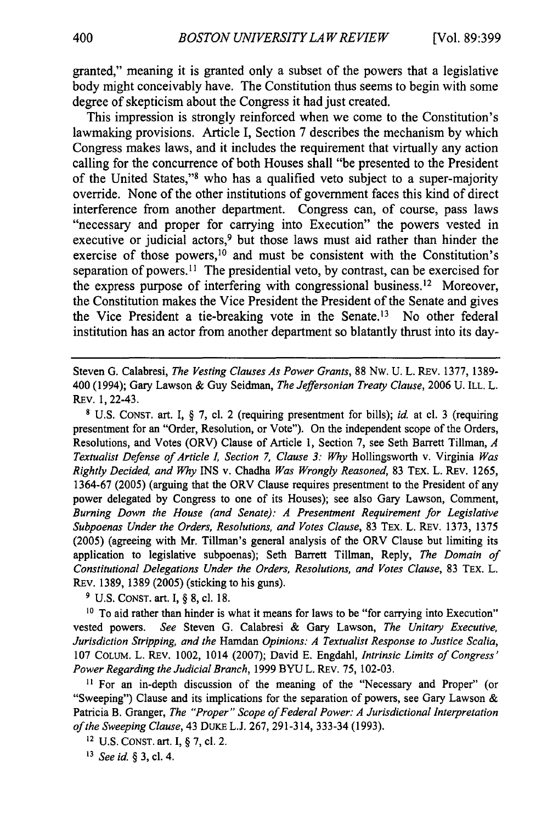granted," meaning it is granted only a subset of the powers that a legislative body might conceivably have. The Constitution thus seems to begin with some degree of skepticism about the Congress it had just created.

This impression is strongly reinforced when we come to the Constitution's lawmaking provisions. Article I, Section 7 describes the mechanism by which Congress makes laws, and it includes the requirement that virtually any action calling for the concurrence of both Houses shall "be presented to the President of the United States,"<sup>8</sup> who has a qualified veto subject to a super-majority override. None of the other institutions of government faces this kind of direct interference from another department. Congress can, of course, pass laws "necessary and proper for carrying into Execution" the powers vested in executive or judicial actors,<sup>9</sup> but those laws must aid rather than hinder the exercise of those powers,<sup>10</sup> and must be consistent with the Constitution's separation of powers.<sup>11</sup> The presidential veto, by contrast, can be exercised for the express purpose of interfering with congressional business.<sup>12</sup> Moreover, the Constitution makes the Vice President the President of the Senate and gives the Vice President a tie-breaking vote in the Senate.<sup>13</sup> No other federal institution has an actor from another department so blatantly thrust into its day-

Steven G. Calabresi, *The Vesting Clauses As Power Grants,* 88 Nw. U. L. REv. 1377, 1389- 400 (1994); Gary Lawson & Guy Seidman, *The Jeffersonian Treaty Clause,* 2006 U. ILL. L. REv. 1, 22-43.

**8** U.S. CONST. art. I, § 7, cl. 2 (requiring presentment for bills); *id.* at cl. 3 (requiring presentment for an "Order, Resolution, or Vote"). On the independent scope of the Orders, Resolutions, and Votes (ORV) Clause of Article 1, Section 7, see Seth Barrett Tillman, *A Textualist Defense of Article , Section 7, Clause 3: Why* Hollingsworth v. Virginia *Was Rightly Decided, and Why INS v. Chadha Was Wrongly Reasoned, 83 TEX. L. REV. 1265,* 1364-67 (2005) (arguing that the ORV Clause requires presentment to the President of any power delegated by Congress to one of its Houses); see also Gary Lawson, Comment, *Burning Down the House (and Senate): A Presentment Requirement for Legislative Subpoenas Under the Orders, Resolutions, and Votes Clause,* 83 TEX. L. REv. 1373, 1375 (2005) (agreeing with Mr. Tillman's general analysis of the ORV Clause but limiting its application to legislative subpoenas); Seth Barrett Tillman, Reply, *The Domain of Constitutional Delegations Under the Orders, Resolutions, and Votes Clause,* 83 TEX. L. REv. 1389, 1389 (2005) (sticking to his guns).

**9** U.S. CONST. art. I, § 8, cl. 18.

<sup>10</sup> To aid rather than hinder is what it means for laws to be "for carrying into Execution" vested powers. *See* Steven G. Calabresi & Gary Lawson, *The Unitary Executive, Jurisdiction Stripping, and the* Hamdan *Opinions: A Textualist Response to Justice Scalia,* 107 COLUM. L. REv. 1002, 1014 (2007); David E. Engdahl, *Intrinsic Limits of Congress' Power Regarding the Judicial Branch,* 1999 BYU L. REV. 75, 102-03.

**it** For an in-depth discussion of the meaning of the "Necessary and Proper" (or "Sweeping") Clause and its implications for the separation of powers, see Gary Lawson  $\&$ Patricia B. Granger, *The "Proper" Scope of Federal Power: A Jurisdictional Interpretation of the Sweeping Clause,* 43 DuKE L.J. 267, 291-314, 333-34 (1993).

**12 U.S.** CONST. **art.** I, § 7, cl. 2.

*13 See id.* § 3, cl. 4.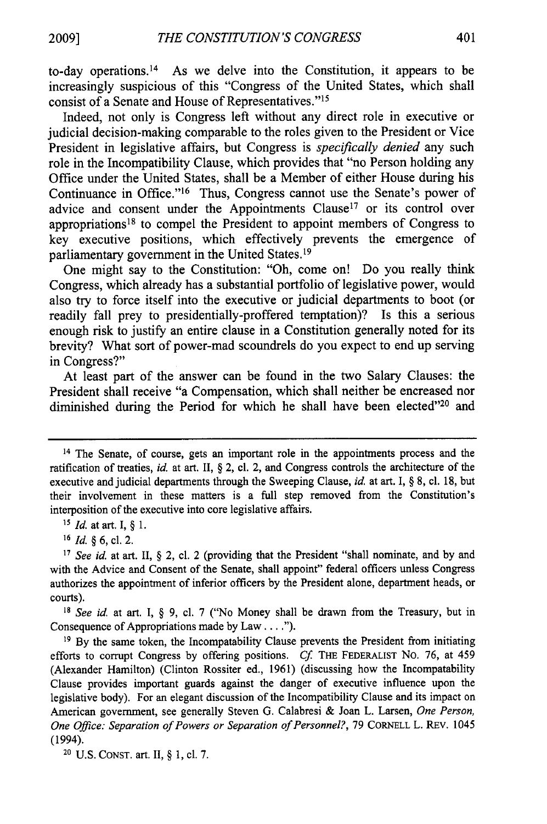to-day operations. 14 As we delve into the Constitution, it appears to be increasingly suspicious of this "Congress of the United States, which shall consist of a Senate and House of Representatives."<sup>15</sup>

Indeed, not only is Congress left without any direct role in executive or judicial decision-making comparable to the roles given to the President or Vice President in legislative affairs, but Congress is *specifically denied* any such role in the Incompatibility Clause, which provides that "no Person holding any Office under the United States, shall be a Member of either House during his Continuance in Office."<sup>16</sup> Thus, Congress cannot use the Senate's power of advice and consent under the Appointments Clause<sup>17</sup> or its control over appropriations 18 to compel the President to appoint members of Congress to key executive positions, which effectively prevents the emergence of parliamentary government in the United States.<sup>19</sup>

One might say to the Constitution: "Oh, come on! Do you really think Congress, which already has a substantial portfolio of legislative power, would also try to force itself into the executive or judicial departments to boot (or readily fall prey to presidentially-proffered temptation)? Is this a serious enough risk to justify an entire clause in a Constitution generally noted for its brevity? What sort of power-mad scoundrels do you expect to end up serving in Congress?"

At least part of the answer can be found in the two Salary Clauses: the President shall receive "a Compensation, which shall neither be encreased nor diminished during the Period for which he shall have been elected"20 and

**'s** *Id.* at art. I, § 1.

**16** *Id. §* 6, cl. 2.

*18 See id.* at art. I, § 9, cl. 7 ("No Money shall be drawn from the Treasury, but in Consequence of Appropriations made by Law **.... ").**

**19** By the same token, the Incompatability Clause prevents the President from initiating efforts to corrupt Congress by offering positions. *Cf* THE FEDERALIST No. 76, at 459 (Alexander Hamilton) (Clinton Rossiter ed., 1961) (discussing how the Incompatability Clause provides important guards against the danger of executive influence upon the legislative body). For an elegant discussion of the Incompatibility Clause and its impact on American government, see generally Steven G. Calabresi & Joan L. Larsen, *One Person, One Office: Separation of Powers or Separation of Personnel?,* 79 CORNELL L. REv. 1045 (1994).

20 U.S. **CONST.** art. II, § 1, cl. 7.

<sup>14</sup> The Senate, of course, gets an important role in the appointments process and the ratification of treaties, *id.* at art. II, **§** 2, cl. 2, and Congress controls the architecture of the executive and judicial departments through the Sweeping Clause, *id.* at art. I, § 8, cl. 18, but their involvement in these matters is a full step removed from the Constitution's interposition of the executive into core legislative affairs.

*<sup>17</sup> See id.* at art. II, § 2, cl. 2 (providing that the President "shall nominate, and by and with the Advice and Consent of the Senate, shall appoint" federal officers unless Congress authorizes the appointment of inferior officers by the President alone, department heads, or courts).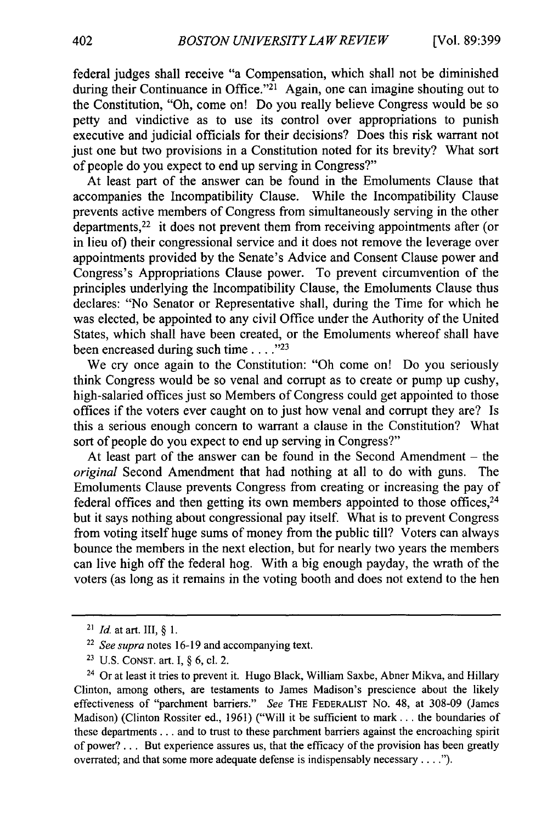federal judges shall receive "a Compensation, which shall not be diminished during their Continuance in Office.<sup> $21$ </sup> Again, one can imagine shouting out to the Constitution, "Oh, come on! Do you really believe Congress would be so petty and vindictive as to use its control over appropriations to punish executive and judicial officials for their decisions? Does this risk warrant not just one but two provisions in a Constitution noted for its brevity? What sort of people do you expect to end up serving in Congress?"

At least part of the answer can be found in the Emoluments Clause that accompanies the Incompatibility Clause. While the Incompatibility Clause prevents active members of Congress from simultaneously serving in the other departments,<sup>22</sup> it does not prevent them from receiving appointments after (or in lieu of) their congressional service and it does not remove the leverage over appointments provided by the Senate's Advice and Consent Clause power and Congress's Appropriations Clause power. To prevent circumvention of the principles underlying the Incompatibility Clause, the Emoluments Clause thus declares: "No Senator or Representative shall, during the Time for which he was elected, be appointed to any civil Office under the Authority of the United States, which shall have been created, or the Emoluments whereof shall have been encreased during such time . . . .<sup>723</sup>

We cry once again to the Constitution: "Oh come on! Do you seriously think Congress would be so venal and corrupt as to create or pump up cushy, high-salaried offices just so Members of Congress could get appointed to those offices if the voters ever caught on to just how venal and corrupt they are? Is this a serious enough concern to warrant a clause in the Constitution? What sort of people do you expect to end up serving in Congress?"

At least part of the answer can be found in the Second Amendment **-** the *original* Second Amendment that had nothing at all to do with guns. The Emoluments Clause prevents Congress from creating or increasing the pay of federal offices and then getting its own members appointed to those offices,  $24$ but it says nothing about congressional pay itself. What is to prevent Congress from voting itself huge sums of money from the public till? Voters can always bounce the members in the next election, but for nearly two years the members can live high off the federal hog. With a big enough payday, the wrath of the voters (as long as it remains in the voting booth and does not extend to the hen

**<sup>21</sup>** *Id.* at art. III,§ 1.

**<sup>22</sup>** *See supra* notes 16-19 and accompanying text.

**<sup>23</sup>** U.S. CONST. art. I, § 6, cl. 2.

<sup>&</sup>lt;sup>24</sup> Or at least it tries to prevent it. Hugo Black, William Saxbe, Abner Mikva, and Hillary Clinton, among others, are testaments to James Madison's prescience about the likely effectiveness of "parchment barriers." *See* THE FEDERALIST No. 48, at 308-09 (James Madison) (Clinton Rossiter ed., 1961) ("Will it be sufficient to mark. **. .** the boundaries of these departments... and to trust to these parchment barriers against the encroaching spirit of power? ... But experience assures us, that the efficacy of the provision has been greatly overrated; and that some more adequate defense is indispensably necessary **.... ").**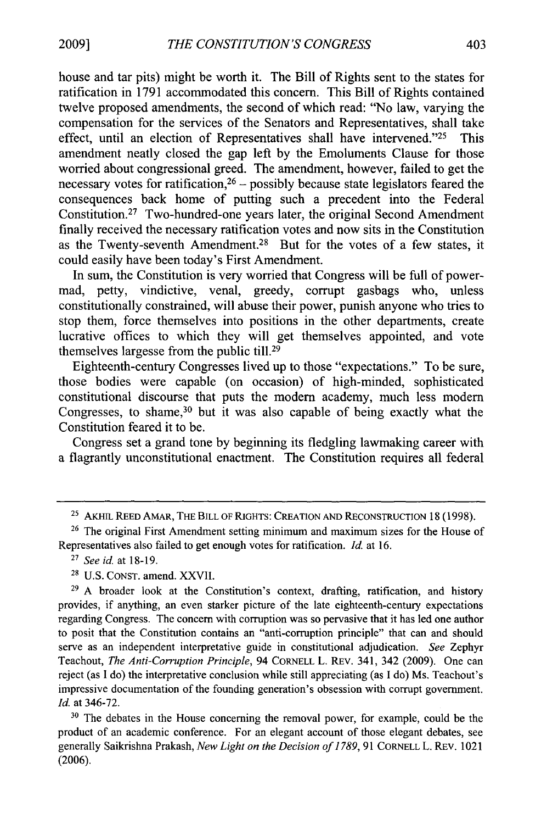house and tar pits) might be worth it. The Bill of Rights sent to the states for ratification in 1791 accommodated this concern. This Bill of Rights contained twelve proposed amendments, the second of which read: "No law, varying the compensation for the services of the Senators and Representatives, shall take effect, until an election of Representatives shall have intervened."25 This amendment neatly closed the gap left by the Emoluments Clause for those worried about congressional greed. The amendment, however, failed to get the necessary votes for ratification,  $26$  – possibly because state legislators feared the consequences back home of putting such a precedent into the Federal Constitution.27 Two-hundred-one years later, the original Second Amendment finally received the necessary ratification votes and now sits in the Constitution as the Twenty-seventh Amendment.28 But for the votes of a few states, it could easily have been today's First Amendment.

In sum, the Constitution is very worried that Congress will be full of powermad, petty, vindictive, venal, greedy, corrupt gasbags who, unless constitutionally constrained, will abuse their power, punish anyone who tries to stop them, force themselves into positions in the other departments, create lucrative offices to which they will get themselves appointed, and vote themselves largesse from the public till.29

Eighteenth-century Congresses lived up to those "expectations." To be sure, those bodies were capable (on occasion) of high-minded, sophisticated constitutional discourse that puts the modern academy, much less modern Congresses, to shame,  $30$  but it was also capable of being exactly what the Constitution feared it to be.

Congress set a grand tone by beginning its fledgling lawmaking career with a flagrantly unconstitutional enactment. The Constitution requires all federal

- <sup>27</sup>*See id.* at 18-19.
- 28 U.S. **CONST.** amend. XXVII.

<sup>25</sup> **AKHIL** REED AMAR, THE BILL OF RIGHTS: **CREATION AND RECONSTRUCTION** 18 (1998).

 $26$  The original First Amendment setting minimum and maximum sizes for the House of Representatives also failed to get enough votes for ratification. *Id.* at 16.

<sup>&</sup>lt;sup>29</sup> A broader look at the Constitution's context, drafting, ratification, and history provides, if anything, an even starker picture of the late eighteenth-century expectations regarding Congress. The concern with corruption was so pervasive that it has led one author to posit that the Constitution contains an "anti-corruption principle" that can and should serve as an independent interpretative guide in constitutional adjudication. *See* Zephyr Teachout, *The Anti-Corruption Principle,* 94 CORNELL L. REv. 341, 342 (2009). One can reject (as I do) the interpretative conclusion while still appreciating (as I do) Ms. Teachout's impressive documentation of the founding generation's obsession with corrupt government. *Id.* at 346-72.

<sup>&</sup>lt;sup>30</sup> The debates in the House concerning the removal power, for example, could be the product of an academic conference. For an elegant account of those elegant debates, see generally Saikrishna Prakash, *New Light on the Decision of 1789,* 91 CORNELL L. REv. 1021 (2006).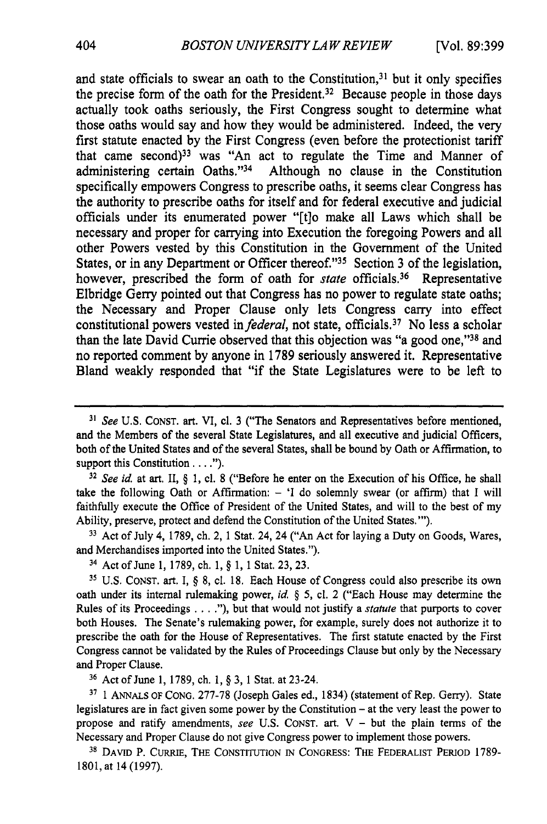and state officials to swear an oath to the Constitution, $31$  but it only specifies the precise form of the oath for the President.<sup>32</sup> Because people in those days actually took oaths seriously, the First Congress sought to determine what those oaths would say and how they would be administered. Indeed, the very first statute enacted by the First Congress (even before the protectionist tariff that came second)<sup>33</sup> was "An act to regulate the Time and Manner of administering certain Oaths."<sup>34</sup> Although no clause in the Constitution specifically empowers Congress to prescribe oaths, it seems clear Congress has the authority to prescribe oaths for itself and for federal executive and judicial officials under its enumerated power "[t]o make all Laws which shall be necessary and proper for carrying into Execution the foregoing Powers and all other Powers vested by this Constitution in the Government of the United States, or in any Department or Officer thereof."<sup>35</sup> Section 3 of the legislation, however, prescribed the form of oath for *state* officials.<sup>36</sup> Representative Elbridge Gerry pointed out that Congress has no power to regulate state oaths; the Necessary and Proper Clause only lets Congress carry into effect constitutional powers vested *in federal,* not state, officials. 37 No less a scholar than the late David Currie observed that this objection was "a good one,"<sup>38</sup> and no reported comment by anyone in 1789 seriously answered it. Representative Bland weakly responded that "if the State Legislatures were to be left to

*<sup>32</sup>See id.* at art. II, § 1, **el.** 8 ("Before he enter on the Execution of his Office, he shall take the following Oath or Affirmation: - 'I do solemnly swear (or affirm) that I will faithfully execute the Office of President of the United States, and will to the best of my Ability, preserve, protect and defend the Constitution of the United States."').

**<sup>33</sup>**Act of July 4, 1789, ch. 2, 1 Stat. 24, 24 ("An Act for laying a Duty on Goods, Wares, and Merchandises imported into the United States.").

34 Act of June 1, 1789, ch. 1, § 1, 1 Stat. 23, 23.

*<sup>35</sup>*U.S. CONST. art. I, § 8, cl. 18. Each House of Congress could also prescribe its own oath under its internal rulemaking power, *id. §* 5, cl. 2 ("Each House may determine the Rules of its Proceedings **....** ), but that would not justify a *statute* that purports to cover both Houses. The Senate's rulemaking power, for example, surely does not authorize it to prescribe the oath for the House of Representatives. The first statute enacted by the First Congress cannot be validated by the Rules of Proceedings Clause but only by the Necessary and Proper Clause.

**<sup>36</sup>**Act of June 1, 1789, ch. **1,** § 3, 1 Stat. at 23-24.

**37 1** ANNALS OF CONG. 277-78 (Joseph Gales ed., 1834) (statement of Rep. Gerry). State legislatures are in fact given some power by the Constitution - at the very least the power to propose and ratify amendments, *see* U.S. **CONST.** art. V - but the plain terms of the Necessary and Proper Clause do not give Congress power to implement those powers.

**38 DAVID** P. CURRIE, THE CONSTITUTION **IN CONGRESS:** THE FEDERALIST PERIOD 1789- 1801, at 14 (1997).

*<sup>31</sup> See* U.S. CONST. art. VI, cl. 3 ("The Senators and Representatives before mentioned, and the Members of the several State Legislatures, and all executive and judicial Officers, both of the United States and of the several States, shall be bound by Oath or Affirmation, to support this Constitution **.... ").**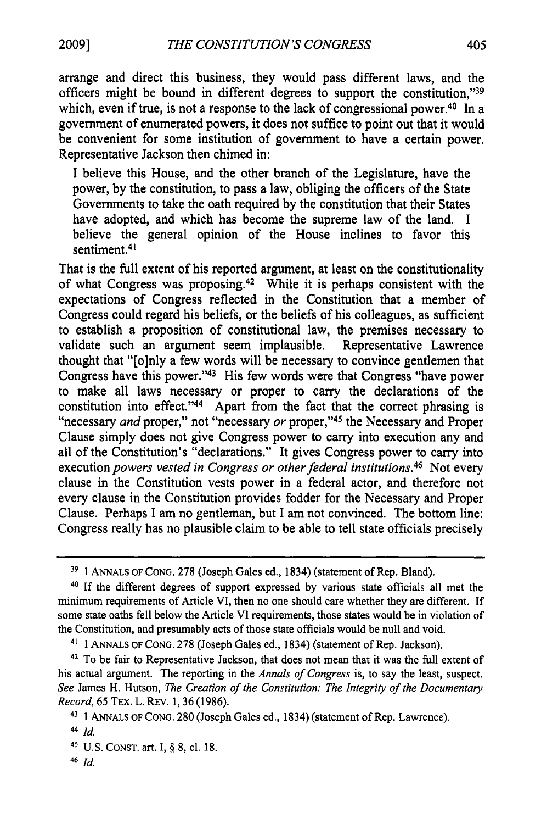**2009]**

arrange and direct this business, they would pass different laws, and the officers might be bound in different degrees to support the constitution,"39 which, even if true, is not a response to the lack of congressional power.<sup>40</sup> In a government of enumerated powers, it does not suffice to point out that it would be convenient for some institution of government to have a certain power. Representative Jackson then chimed in:

I believe this House, and the other branch of the Legislature, have the power, by the constitution, to pass a law, obliging the officers of the State Governments to take the oath required by the constitution that their States have adopted, and which has become the supreme law of the land. I believe the general opinion of the House inclines to favor this sentiment.<sup>41</sup>

That is the full extent of his reported argument, at least on the constitutionality of what Congress was proposing. 42 While it is perhaps consistent with the expectations of Congress reflected in the Constitution that a member of Congress could regard his beliefs, or the beliefs of his colleagues, as sufficient to establish a proposition of constitutional law, the premises necessary to validate such an argument seem implausible. Representative Lawrence thought that "[o]nly a few words will be necessary to convince gentlemen that Congress have this power. '43 His few words were that Congress "have power to make all laws necessary or proper to carry the declarations of the constitution into effect."<sup>44</sup> Apart from the fact that the correct phrasing is "necessary *and* proper," not "necessary *or* proper,"45 the Necessary and Proper Clause simply does not give Congress power to carry into execution any and all of the Constitution's "declarations." It gives Congress power to carry into execution *powers vested in Congress or other federal institutions.46* Not every clause in the Constitution vests power in a federal actor, and therefore not every clause in the Constitution provides fodder for the Necessary and Proper Clause. Perhaps I am no gentleman, but I am not convinced. The bottom line: Congress really has no plausible claim to be able to tell state officials precisely

45 U.S. CONST. art. I, § **8,** cl. 18.

**<sup>39</sup>** 1 ANNALS OF CONG. 278 (Joseph Gales ed., 1834) (statement of Rep. Bland).

<sup>&</sup>lt;sup>40</sup> If the different degrees of support expressed by various state officials all met the minimum requirements of Article VI, then no one should care whether they are different. If some state oaths fell below the Article VI requirements, those states would be in violation of the Constitution, and presumably acts of those state officials would be null and void.

<sup>41</sup> 1 ANNALS OF CONG. 278 (Joseph Gales ed., 1834) (statement of Rep. Jackson).

**<sup>42</sup>**To be fair to Representative Jackson, that does not mean that it was the full extent of his actual argument. The reporting in the *Annals of Congress* is, to say the least, suspect. *See* James H. Hutson, *The Creation of the Constitution: The Integrity of the Documentary Record,* 65 TEX. L. REv. 1, 36 (1986).

<sup>43</sup> 1 ANNALs OF CONG. 280 (Joseph Gales ed., 1834) (statement of Rep. Lawrence).

**<sup>44</sup>Id.**

<sup>46</sup>*Id*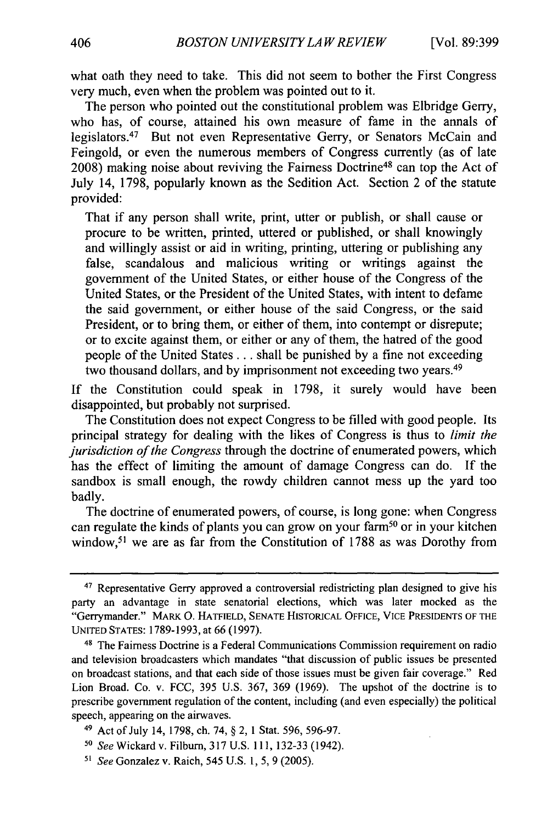what oath they need to take. This did not seem to bother the First Congress very much, even when the problem was pointed out to it.

The person who pointed out the constitutional problem was Elbridge Gerry, who has, of course, attained his own measure of fame in the annals of legislators.<sup>47</sup> But not even Representative Gerry, or Senators McCain and Feingold, or even the numerous members of Congress currently (as of late 2008) making noise about reviving the Fairness Doctrine48 can top the Act of July 14, 1798, popularly known as the Sedition Act. Section 2 of the statute provided:

That if any person shall write, print, utter or publish, or shall cause or procure to be written, printed, uttered or published, or shall knowingly and willingly assist or aid in writing, printing, uttering or publishing any false, scandalous and malicious writing or writings against the government of the United States, or either house of the Congress of the United States, or the President of the United States, with intent to defame the said government, or either house of the said Congress, or the said President, or to bring them, or either of them, into contempt or disrepute; or to excite against them, or either or any of them, the hatred of the good people of the United States... shall be punished by a fine not exceeding two thousand dollars, and by imprisonment not exceeding two years.<sup>49</sup>

If the Constitution could speak in 1798, it surely would have been disappointed, but probably not surprised.

The Constitution does not expect Congress to be filled with good people. Its principal strategy for dealing with the likes of Congress is thus to *limit the jurisdiction of the Congress* through the doctrine of enumerated powers, which has the effect of limiting the amount of damage Congress can do. If the sandbox is small enough, the rowdy children cannot mess up the yard too badly.

The doctrine of enumerated powers, of course, is long gone: when Congress can regulate the kinds of plants you can grow on your farm<sup>50</sup> or in your kitchen window,<sup>51</sup> we are as far from the Constitution of 1788 as was Dorothy from

<sup>&</sup>lt;sup>47</sup> Representative Gerry approved a controversial redistricting plan designed to give his party an advantage in state senatorial elections, which was later mocked as the "Gerrymander." MARK **0.** HATFIELD, SENATE HISTORICAL OFFICE, VICE PRESIDENTS OF THE UNITED STATES: 1789-1993, at 66 (1997).

<sup>48</sup> The Fairness Doctrine is a Federal Communications Commission requirement on radio and television broadcasters which mandates "that discussion of public issues be presented on broadcast stations, and that each side of those issues must be given fair coverage." Red Lion Broad. Co. v. FCC, 395 U.S. 367, 369 (1969). The upshot of the doctrine is to prescribe government regulation of the content, including (and even especially) the political speech, appearing on the airwaves.

<sup>4&#</sup>x27; Act of July 14, 1798, ch. 74, § 2, 1 Stat. 596, 596-97.

*<sup>50</sup>*SeeWickardv. Filburn, 317 U.S. 111, 132-33 (1942).

*<sup>51</sup> See* Gonzalez v. Raich, 545 U.S. 1, 5, 9 (2005).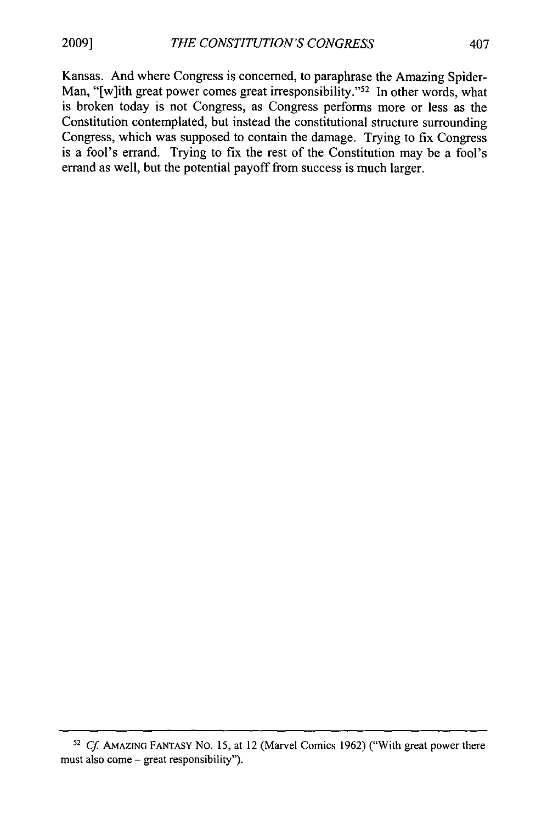**2009]**

Kansas. And where Congress is concerned, to paraphrase the Amazing Spider-Man, "[w]ith great power comes great irresponsibility."<sup>52</sup> In other words, what is broken today is not Congress, as Congress performs more or less as the Constitution contemplated, but instead the constitutional structure surrounding Congress, which was supposed to contain the damage. Trying to fix Congress is a fool's errand. Trying to fix the rest of the Constitution may be a fool's errand as well, but the potential payoff from success is much larger.

**<sup>52</sup>***Cf* **AMAZING** FANTASY No. **15,** at 12 (Marvel Comics 1962) ("With great power there must also come – great responsibility").